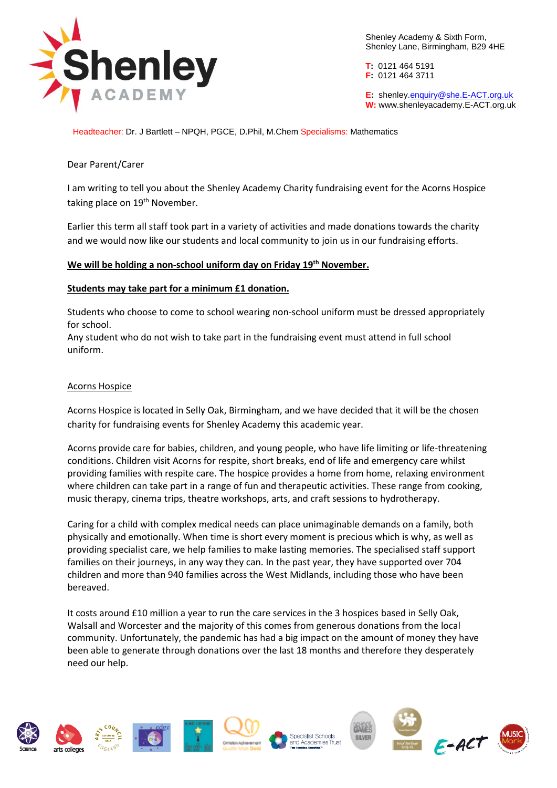

Shenley Academy & Sixth Form, Shenley Lane, Birmingham, B29 4HE

**T:** 0121 464 5191 **F:** 0121 464 3711

**E:** shenle[y.enquiry@she.E-ACT.org.uk](mailto:enquiry@she.E-ACT.org.uk) **W:** www.shenleyacademy.E-ACT.org.uk

Headteacher: Dr. J Bartlett – NPQH, PGCE, D.Phil, M.Chem Specialisms: Mathematics

## Dear Parent/Carer

I am writing to tell you about the Shenley Academy Charity fundraising event for the Acorns Hospice taking place on 19<sup>th</sup> November.

Earlier this term all staff took part in a variety of activities and made donations towards the charity and we would now like our students and local community to join us in our fundraising efforts.

## **We will be holding a non-school uniform day on Friday 19th November.**

## **Students may take part for a minimum £1 donation.**

Students who choose to come to school wearing non-school uniform must be dressed appropriately for school.

Any student who do not wish to take part in the fundraising event must attend in full school uniform.

## Acorns Hospice

Acorns Hospice is located in Selly Oak, Birmingham, and we have decided that it will be the chosen charity for fundraising events for Shenley Academy this academic year.

Acorns provide care for babies, children, and young people, who have life limiting or life-threatening conditions. Children visit Acorns for respite, short breaks, end of life and emergency care whilst providing families with respite care. The hospice provides a home from home, relaxing environment where children can take part in a range of fun and therapeutic activities. These range from cooking, music therapy, cinema trips, theatre workshops, arts, and craft sessions to hydrotherapy.

Caring for a child with complex medical needs can place unimaginable demands on a family, both physically and emotionally. When time is short every moment is precious which is why, as well as providing specialist care, we help families to make lasting memories. The specialised staff support families on their journeys, in any way they can. In the past year, they have supported over 704 children and more than 940 families across the West Midlands, including those who have been bereaved.

It costs around £10 million a year to run the care services in the 3 hospices based in Selly Oak, Walsall and Worcester and the majority of this comes from generous donations from the local community. Unfortunately, the pandemic has had a big impact on the amount of money they have been able to generate through donations over the last 18 months and therefore they desperately need our help.